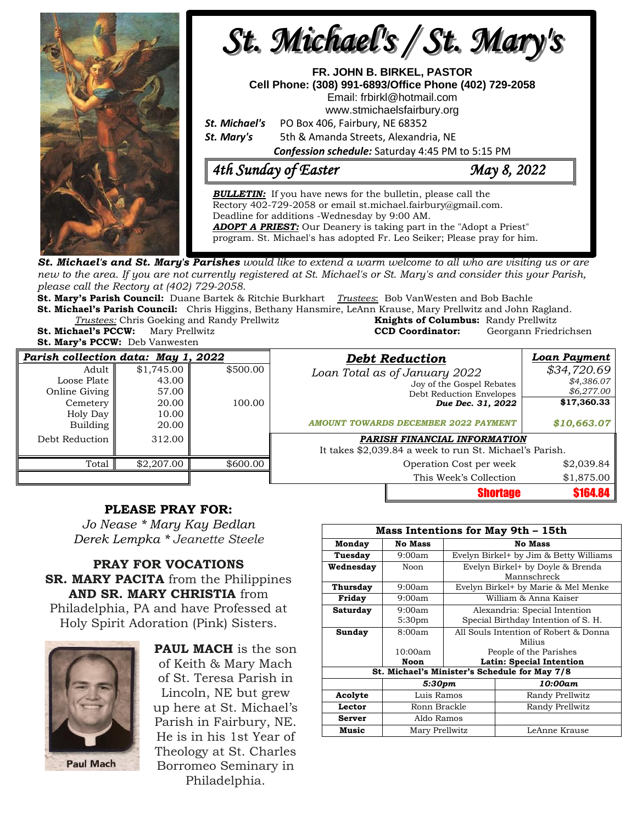

**St. Michael's and St. Mary's Parishes** would like to extend a warm welcome to all who are visiting us or are new to the area. If you are not currently registered at St. Michael's or St. Mary's and consider this your Parish, *please call the Rectory at (402) 729-2058.* 

**St. Mary's Parish Council:** Duane Bartek & Ritchie Burkhart *Trustees*: Bob VanWesten and Bob Bachle

**St. Michael's Parish Council:** Chris Higgins, Bethany Hansmire, LeAnn Krause, Mary Prellwitz and John Ragland. **Trustees:** Chris Goeking and Randy Prellwitz

**St. Michael's PCCW:** Mary Prellwitz **St. Mary's PCCW:** Deb Vanwesten

| <b>CCD Coordinator:</b>               | Georgann Friedrichsen |
|---------------------------------------|-----------------------|
| <b>Debt Reduction</b>                 | <b>Loan Paymer</b>    |
| $\tau$ $\pi$ , $\tau$ $\tau$ $\gamma$ | \$21706               |

| Parish collection data: May 1, 2022 |            |          | <b>Debt Reduction</b>                                   | Loan Payment   |  |
|-------------------------------------|------------|----------|---------------------------------------------------------|----------------|--|
| Adult                               | \$1,745.00 | \$500.00 | Loan Total as of January 2022                           | \$34,720.69    |  |
| Loose Plate                         | 43.00      |          | Joy of the Gospel Rebates                               | \$4,386.07     |  |
| Online Giving                       | 57.00      |          | Debt Reduction Envelopes                                | \$6,277.00     |  |
| Cemetery                            | 20.00      | 100.00   | Due Dec. 31, 2022                                       | \$17,360.33    |  |
| Holy Day                            | 10.00      |          |                                                         |                |  |
| Building                            | 20.00      |          | <b>AMOUNT TOWARDS DECEMBER 2022 PAYMENT</b>             | \$10,663.07    |  |
| Debt Reduction                      | 312.00     |          | <b>PARISH FINANCIAL INFORMATION</b>                     |                |  |
|                                     |            |          | It takes \$2,039.84 a week to run St. Michael's Parish. |                |  |
| Total                               | \$2,207.00 | \$600.00 | Operation Cost per week                                 | \$2,039.84     |  |
|                                     |            |          | This Week's Collection                                  | \$1,875.00     |  |
|                                     |            |          | <b>Shortage</b>                                         | <b>S164.84</b> |  |

## **PLEASE PRAY FOR:**

*Jo Nease \* Mary Kay Bedlan Derek Lempka \* Jeanette Steele*

**PRAY FOR VOCATIONS SR. MARY PACITA** from the Philippines **AND SR. MARY CHRISTIA** from Philadelphia, PA and have Professed at Holy Spirit Adoration (Pink) Sisters.



**PAUL MACH** is the son of Keith & Mary Mach of St. Teresa Parish in Lincoln, NE but grew up here at St. Michael's Parish in Fairbury, NE. He is in his 1st Year of Theology at St. Charles Borromeo Seminary in Philadelphia.

| <b>Mass Intentions for May 9th - 15th</b>     |                    |                                        |                                     |  |  |  |
|-----------------------------------------------|--------------------|----------------------------------------|-------------------------------------|--|--|--|
| Monday                                        | <b>No Mass</b>     | <b>No Mass</b>                         |                                     |  |  |  |
| Tuesday                                       | 9:00am             | Evelyn Birkel+ by Jim & Betty Williams |                                     |  |  |  |
| Wednesdav                                     | Noon               | Evelyn Birkel+ by Doyle & Brenda       |                                     |  |  |  |
|                                               |                    | Mannschreck                            |                                     |  |  |  |
| Thursday                                      | 9:00am             | Evelyn Birkel+ by Marie & Mel Menke    |                                     |  |  |  |
| Friday                                        | 9:00am             | William & Anna Kaiser                  |                                     |  |  |  |
| Saturday                                      | 9:00am             | Alexandria: Special Intention          |                                     |  |  |  |
|                                               | 5:30 <sub>pm</sub> |                                        | Special Birthday Intention of S. H. |  |  |  |
| Sunday                                        | 8:00am             | All Souls Intention of Robert & Donna  |                                     |  |  |  |
|                                               |                    | Milius                                 |                                     |  |  |  |
|                                               | 10:00am            | People of the Parishes                 |                                     |  |  |  |
|                                               | <b>Noon</b>        | <b>Latin: Special Intention</b>        |                                     |  |  |  |
| St. Michael's Minister's Schedule for May 7/8 |                    |                                        |                                     |  |  |  |
|                                               | 5:30pm             |                                        | 10:00am                             |  |  |  |
| Acolyte                                       | Luis Ramos         |                                        | Randy Prellwitz                     |  |  |  |
| Lector                                        | Ronn Brackle       |                                        | Randy Prellwitz                     |  |  |  |
| <b>Server</b>                                 | Aldo Ramos         |                                        |                                     |  |  |  |
| Music                                         | Mary Prellwitz     |                                        | LeAnne Krause                       |  |  |  |